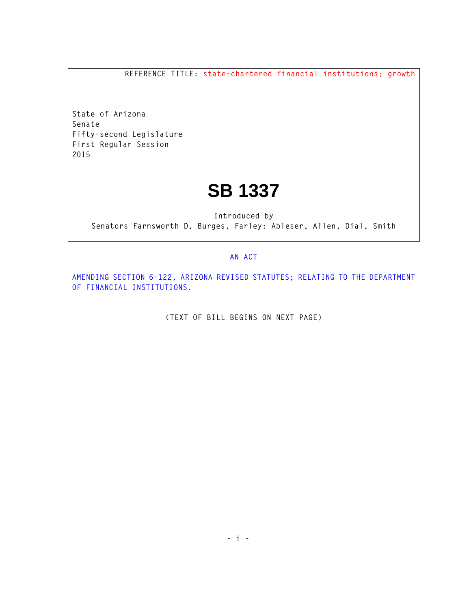**REFERENCE TITLE: state-chartered financial institutions; growth**

**State of Arizona Senate Fifty-second Legislature First Regular Session 2015** 

## **SB 1337**

**Introduced by Senators Farnsworth D, Burges, Farley: Ableser, Allen, Dial, Smith** 

## **AN ACT**

**AMENDING SECTION 6-122, ARIZONA REVISED STATUTES; RELATING TO THE DEPARTMENT OF FINANCIAL INSTITUTIONS.** 

**(TEXT OF BILL BEGINS ON NEXT PAGE)**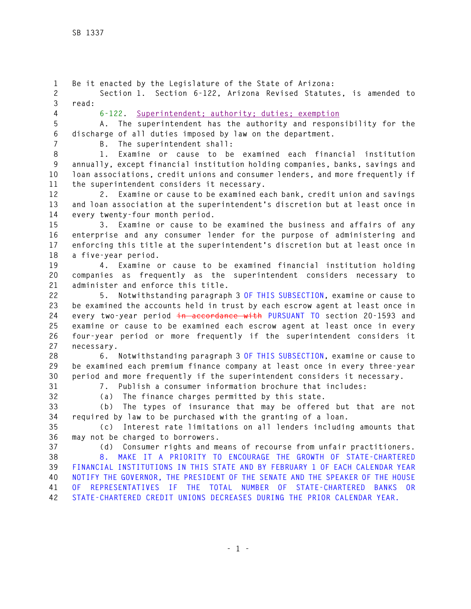**1 Be it enacted by the Legislature of the State of Arizona: 2 Section 1. Section 6-122, Arizona Revised Statutes, is amended to 3 read: 4 6-122. Superintendent; authority; duties; exemption 5 A. The superintendent has the authority and responsibility for the 6 discharge of all duties imposed by law on the department. 7 B. The superintendent shall: 8 1. Examine or cause to be examined each financial institution 9 annually, except financial institution holding companies, banks, savings and 10 loan associations, credit unions and consumer lenders, and more frequently if 11 the superintendent considers it necessary. 12 2. Examine or cause to be examined each bank, credit union and savings 13 and loan association at the superintendent's discretion but at least once in 14 every twenty-four month period. 15 3. Examine or cause to be examined the business and affairs of any 16 enterprise and any consumer lender for the purpose of administering and 17 enforcing this title at the superintendent's discretion but at least once in 18 a five-year period. 19 4. Examine or cause to be examined financial institution holding 20 companies as frequently as the superintendent considers necessary to 21 administer and enforce this title. 22 5. Notwithstanding paragraph 3 OF THIS SUBSECTION, examine or cause to 23 be examined the accounts held in trust by each escrow agent at least once in 24 every two-year period in accordance with PURSUANT TO section 20-1593 and 25 examine or cause to be examined each escrow agent at least once in every 26 four-year period or more frequently if the superintendent considers it 27 necessary. 28 6. Notwithstanding paragraph 3 OF THIS SUBSECTION, examine or cause to 29 be examined each premium finance company at least once in every three-year 30 period and more frequently if the superintendent considers it necessary. 31 7. Publish a consumer information brochure that includes: 32 (a) The finance charges permitted by this state. 33 (b) The types of insurance that may be offered but that are not 34 required by law to be purchased with the granting of a loan. 35 (c) Interest rate limitations on all lenders including amounts that 36 may not be charged to borrowers. 37 (d) Consumer rights and means of recourse from unfair practitioners. 38 8. MAKE IT A PRIORITY TO ENCOURAGE THE GROWTH OF STATE-CHARTERED 39 FINANCIAL INSTITUTIONS IN THIS STATE AND BY FEBRUARY 1 OF EACH CALENDAR YEAR 40 NOTIFY THE GOVERNOR, THE PRESIDENT OF THE SENATE AND THE SPEAKER OF THE HOUSE 41 OF REPRESENTATIVES IF THE TOTAL NUMBER OF STATE-CHARTERED BANKS OR 42 STATE-CHARTERED CREDIT UNIONS DECREASES DURING THE PRIOR CALENDAR YEAR.**